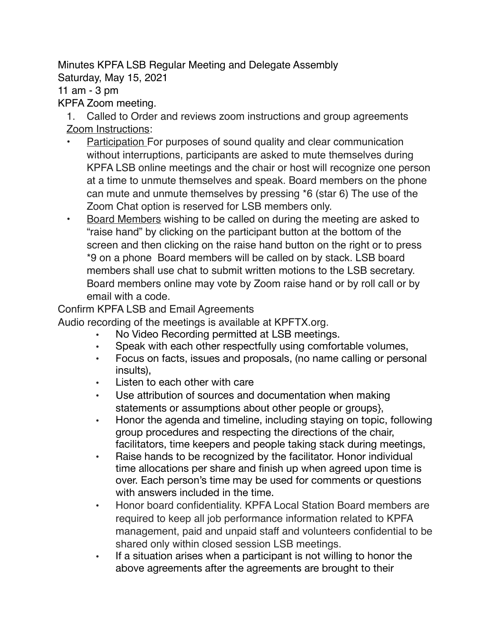Minutes KPFA LSB Regular Meeting and Delegate Assembly

Saturday, May 15, 2021

11 am - 3 pm

## KPFA Zoom meeting.

1. Called to Order and reviews zoom instructions and group agreements Zoom Instructions:

- Participation For purposes of sound quality and clear communication without interruptions, participants are asked to mute themselves during KPFA LSB online meetings and the chair or host will recognize one person at a time to unmute themselves and speak. Board members on the phone can mute and unmute themselves by pressing \*6 (star 6) The use of the Zoom Chat option is reserved for LSB members only.
- Board Members wishing to be called on during the meeting are asked to "raise hand" by clicking on the participant button at the bottom of the screen and then clicking on the raise hand button on the right or to press \*9 on a phone Board members will be called on by stack. LSB board members shall use chat to submit written motions to the LSB secretary. Board members online may vote by Zoom raise hand or by roll call or by email with a code.

Confirm KPFA LSB and Email Agreements

Audio recording of the meetings is available at KPFTX.org.

- No Video Recording permitted at LSB meetings.
- Speak with each other respectfully using comfortable volumes,
- Focus on facts, issues and proposals, (no name calling or personal insults),
- Listen to each other with care
- Use attribution of sources and documentation when making statements or assumptions about other people or groups},
- Honor the agenda and timeline, including staying on topic, following group procedures and respecting the directions of the chair, facilitators, time keepers and people taking stack during meetings,
- Raise hands to be recognized by the facilitator. Honor individual time allocations per share and finish up when agreed upon time is over. Each person's time may be used for comments or questions with answers included in the time.
- Honor board confidentiality. KPFA Local Station Board members are required to keep all job performance information related to KPFA management, paid and unpaid staff and volunteers confidential to be shared only within closed session LSB meetings.
- If a situation arises when a participant is not willing to honor the above agreements after the agreements are brought to their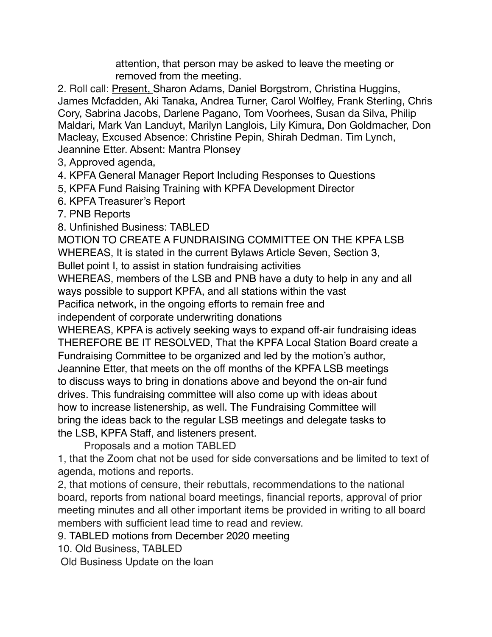attention, that person may be asked to leave the meeting or removed from the meeting.

2. Roll call: Present, Sharon Adams, Daniel Borgstrom, Christina Huggins, James Mcfadden, Aki Tanaka, Andrea Turner, Carol Wolfley, Frank Sterling, Chris Cory, Sabrina Jacobs, Darlene Pagano, Tom Voorhees, Susan da Silva, Philip Maldari, Mark Van Landuyt, Marilyn Langlois, Lily Kimura, Don Goldmacher, Don Macleay, Excused Absence: Christine Pepin, Shirah Dedman. Tim Lynch, Jeannine Etter. Absent: Mantra Plonsey

3, Approved agenda,

4. KPFA General Manager Report Including Responses to Questions

5, KPFA Fund Raising Training with KPFA Development Director

6. KPFA Treasurer's Report

7. PNB Reports

8. Unfinished Business: TABLED

MOTION TO CREATE A FUNDRAISING COMMITTEE ON THE KPFA LSB

WHEREAS, It is stated in the current Bylaws Article Seven, Section 3,

Bullet point I, to assist in station fundraising activities

WHEREAS, members of the LSB and PNB have a duty to help in any and all ways possible to support KPFA, and all stations within the vast

Pacifica network, in the ongoing efforts to remain free and

independent of corporate underwriting donations

WHEREAS, KPFA is actively seeking ways to expand off-air fundraising ideas THEREFORE BE IT RESOLVED, That the KPFA Local Station Board create a Fundraising Committee to be organized and led by the motion's author, Jeannine Etter, that meets on the off months of the KPFA LSB meetings to discuss ways to bring in donations above and beyond the on-air fund drives. This fundraising committee will also come up with ideas about how to increase listenership, as well. The Fundraising Committee will bring the ideas back to the regular LSB meetings and delegate tasks to the LSB, KPFA Staff, and listeners present.

Proposals and a motion TABLED

1, that the Zoom chat not be used for side conversations and be limited to text of agenda, motions and reports.

2, that motions of censure, their rebuttals, recommendations to the national board, reports from national board meetings, financial reports, approval of prior meeting minutes and all other important items be provided in writing to all board members with sufficient lead time to read and review.

9. TABLED motions from December 2020 meeting

10. Old Business, TABLED

Old Business Update on the loan